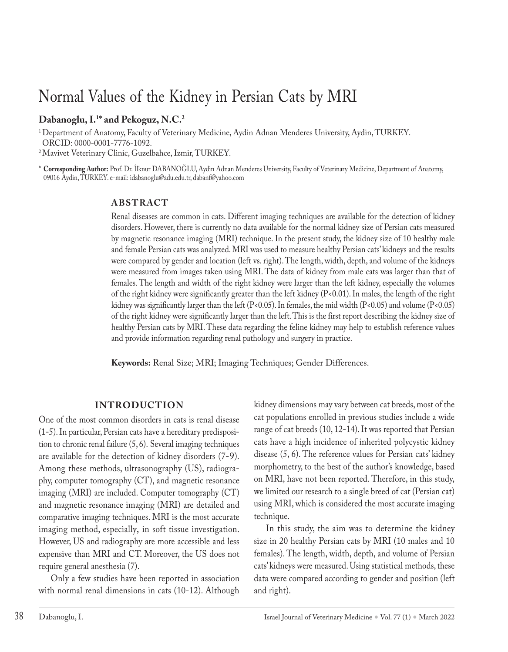# Normal Values of the Kidney in Persian Cats by MRI

## **Dabanoglu, I.1 \* and Pekoguz, N.C.2**

<sup>1</sup> Department of Anatomy, Faculty of Veterinary Medicine, Aydin Adnan Menderes University, Aydin, TURKEY. ORCID: 0000-0001-7776-1092.

2Mavivet Veterinary Clinic, Guzelbahce, Izmir, TURKEY.

**\* Corresponding Author:** Prof. Dr. İlknur DABANOĞLU, Aydin Adnan Menderes University, Faculty of Veterinary Medicine, Department of Anatomy, 09016 Aydin, TURKEY. e-mail: idabanoglu@adu.edu.tr, dabanf@yahoo.com

## **ABSTRACT**

Renal diseases are common in cats. Different imaging techniques are available for the detection of kidney disorders. However, there is currently no data available for the normal kidney size of Persian cats measured by magnetic resonance imaging (MRI) technique. In the present study, the kidney size of 10 healthy male and female Persian cats was analyzed. MRI was used to measure healthy Persian cats' kidneys and the results were compared by gender and location (left vs. right). The length, width, depth, and volume of the kidneys were measured from images taken using MRI. The data of kidney from male cats was larger than that of females. The length and width of the right kidney were larger than the left kidney, especially the volumes of the right kidney were significantly greater than the left kidney (P<0.01). In males, the length of the right kidney was significantly larger than the left (P<0.05). In females, the mid width (P<0.05) and volume (P<0.05) of the right kidney were significantly larger than the left. This is the first report describing the kidney size of healthy Persian cats by MRI. These data regarding the feline kidney may help to establish reference values and provide information regarding renal pathology and surgery in practice.

**Keywords:** Renal Size; MRI; Imaging Techniques; Gender Differences.

## **INTRODUCTION**

One of the most common disorders in cats is renal disease (1-5). In particular, Persian cats have a hereditary predisposition to chronic renal failure (5, 6). Several imaging techniques are available for the detection of kidney disorders (7-9). Among these methods, ultrasonography (US), radiography, computer tomography (CT), and magnetic resonance imaging (MRI) are included. Computer tomography (CT) and magnetic resonance imaging (MRI) are detailed and comparative imaging techniques. MRI is the most accurate imaging method, especially, in soft tissue investigation. However, US and radiography are more accessible and less expensive than MRI and CT. Moreover, the US does not require general anesthesia (7).

Only a few studies have been reported in association with normal renal dimensions in cats (10-12). Although

kidney dimensions may vary between cat breeds, most of the cat populations enrolled in previous studies include a wide range of cat breeds (10, 12-14). It was reported that Persian cats have a high incidence of inherited polycystic kidney disease (5, 6). The reference values for Persian cats' kidney morphometry, to the best of the author's knowledge, based on MRI, have not been reported. Therefore, in this study, we limited our research to a single breed of cat (Persian cat) using MRI, which is considered the most accurate imaging technique.

In this study, the aim was to determine the kidney size in 20 healthy Persian cats by MRI (10 males and 10 females). The length, width, depth, and volume of Persian cats' kidneys were measured. Using statistical methods, these data were compared according to gender and position (left and right).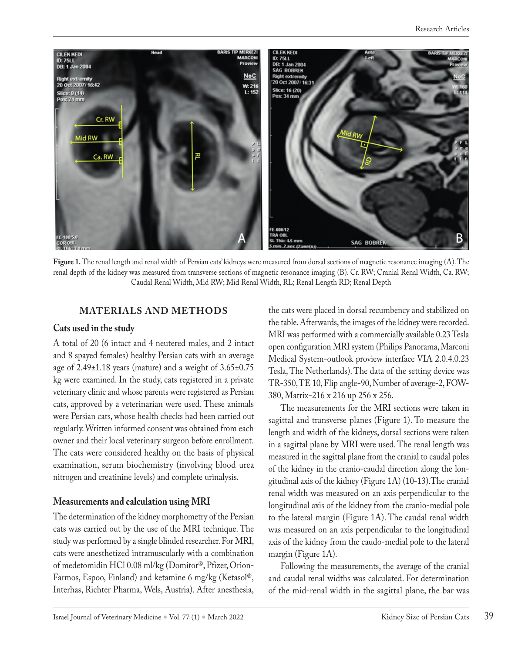

Figure 1. The renal length and renal width of Persian cats' kidneys were measured from dorsal sections of magnetic resonance imaging (A). The renal depth of the kidney was measured from transverse sections of magnetic resonance imaging (B). Cr. RW; Cranial Renal Width, Ca. RW; Caudal Renal Width, Mid RW; Mid Renal Width, RL; Renal Length RD; Renal Depth

#### **MATERIALS AND METHODS**

#### **Cats used in the study**

A total of 20 (6 intact and 4 neutered males, and 2 intact and 8 spayed females) healthy Persian cats with an average age of  $2.49\pm1.18$  years (mature) and a weight of  $3.65\pm0.75$ kg were examined. In the study, cats registered in a private veterinary clinic and whose parents were registered as Persian cats, approved by a veterinarian were used. These animals were Persian cats, whose health checks had been carried out regularly. Written informed consent was obtained from each owner and their local veterinary surgeon before enrollment. The cats were considered healthy on the basis of physical examination, serum biochemistry (involving blood urea nitrogen and creatinine levels) and complete urinalysis.

#### **Measurements and calculation using MRI**

The determination of the kidney morphometry of the Persian cats was carried out by the use of the MRI technique. The study was performed by a single blinded researcher. For MRI, cats were anesthetized intramuscularly with a combination of medetomidin HCl 0.08 ml/kg (Domitor®, Pfizer, Orion-Farmos, Espoo, Finland) and ketamine 6 mg/kg (Ketasol®, Interhas, Richter Pharma, Wels, Austria). After anesthesia,

the cats were placed in dorsal recumbency and stabilized on the table. Afterwards, the images of the kidney were recorded. MRI was performed with a commercially available 0.23 Tesla open configuration MRI system (Philips Panorama, Marconi Medical System-outlook proview interface VIA 2.0.4.0.23 Tesla, The Netherlands). The data of the setting device was TR-350, TE 10, Flip angle-90, Number of average-2, FOW-380, Matrix-216 x 216 up 256 x 256.

The measurements for the MRI sections were taken in sagittal and transverse planes (Figure 1). To measure the length and width of the kidneys, dorsal sections were taken in a sagittal plane by MRI were used. The renal length was measured in the sagittal plane from the cranial to caudal poles of the kidney in the cranio-caudal direction along the longitudinal axis of the kidney (Figure 1A) (10-13).The cranial renal width was measured on an axis perpendicular to the longitudinal axis of the kidney from the cranio-medial pole to the lateral margin (Figure 1A). The caudal renal width was measured on an axis perpendicular to the longitudinal axis of the kidney from the caudo-medial pole to the lateral margin (Figure 1A).

Following the measurements, the average of the cranial and caudal renal widths was calculated. For determination of the mid-renal width in the sagittal plane, the bar was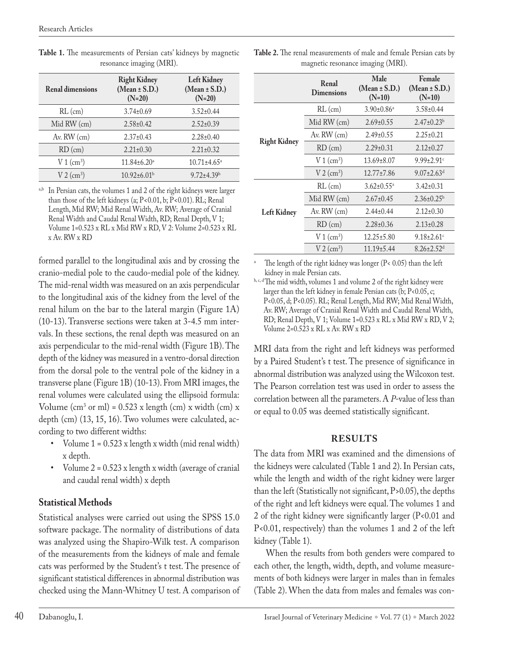|                          | .                                                    |                                                     |
|--------------------------|------------------------------------------------------|-----------------------------------------------------|
| <b>Renal dimensions</b>  | <b>Right Kidney</b><br>$(Mean \pm S.D.)$<br>$(N=20)$ | <b>Left Kidney</b><br>$(Mean \pm S.D.)$<br>$(N=20)$ |
| $RL$ (cm)                | $3.74 \pm 0.69$                                      | $3.52 \pm 0.44$                                     |
| Mid RW (cm)              | $2.58 \pm 0.42$                                      | $2.52 \pm 0.39$                                     |
| Av. RW (cm)              | $2.37 \pm 0.43$                                      | $2.28 \pm 0.40$                                     |
| $RD$ (cm)                | $2.21 \pm 0.30$                                      | $2.21 \pm 0.32$                                     |
| $V 1$ (cm <sup>3</sup> ) | $11.84 \pm 6.20^a$                                   | $10.71 \pm 4.65$ <sup>a</sup>                       |
| $V2$ (cm <sup>3</sup> )  | $10.92 \pm 6.01$ <sup>b</sup>                        | $9.72 \pm 4.39$ <sup>b</sup>                        |

**Table 1.** The measurements of Persian cats' kidneys by magnetic resonance imaging (MRI).

<sup>a,b</sup> In Persian cats, the volumes 1 and 2 of the right kidneys were larger than those of the left kidneys (a; P<0.01, b; P<0.01). RL; Renal Length, Mid RW; Mid Renal Width, Av. RW; Average of Cranial Renal Width and Caudal Renal Width, RD; Renal Depth, V 1; Volume  $1=0.523$  x RL x Mid RW x RD, V 2: Volume  $2=0.523$  x RL x Av. RW x RD

formed parallel to the longitudinal axis and by crossing the cranio-medial pole to the caudo-medial pole of the kidney. The mid-renal width was measured on an axis perpendicular to the longitudinal axis of the kidney from the level of the renal hilum on the bar to the lateral margin (Figure 1A) (10-13). Transverse sections were taken at 3-4.5 mm intervals. In these sections, the renal depth was measured on an axis perpendicular to the mid-renal width (Figure 1B). The depth of the kidney was measured in a ventro-dorsal direction from the dorsal pole to the ventral pole of the kidney in a transverse plane (Figure 1B) (10-13). From MRI images, the renal volumes were calculated using the ellipsoid formula: Volume  $\text{(cm}^3 \text{ or } \text{ml}) = 0.523 \text{ x length (cm) x width (cm) x}$ depth (cm) (13, 15, 16). Two volumes were calculated, according to two different widths:

- Volume  $1 = 0.523$  x length x width (mid renal width) x depth.
- Volume 2 = 0.523 x length x width (average of cranial and caudal renal width) x depth

## **Statistical Methods**

Statistical analyses were carried out using the SPSS 15.0 software package. The normality of distributions of data was analyzed using the Shapiro-Wilk test. A comparison of the measurements from the kidneys of male and female cats was performed by the Student's t test. The presence of significant statistical differences in abnormal distribution was checked using the Mann-Whitney U test. A comparison of

|                     | Renal<br><b>Dimensions</b> | Male<br>$(Mean \pm S.D.)$<br>$(N=10)$ | Female<br>$(Mean \pm S.D.)$<br>$(N=10)$ |
|---------------------|----------------------------|---------------------------------------|-----------------------------------------|
| <b>Right Kidney</b> | $RL$ (cm)                  | $3.90 \pm 0.86$ <sup>a</sup>          | $3.58 \pm 0.44$                         |
|                     | Mid RW (cm)                | $2.69 \pm 0.55$                       | $2.47\pm0.23^{\rm b}$                   |
|                     | Av. $RW$ (cm)              | $2.49 \pm 0.55$                       | $2.25 \pm 0.21$                         |
|                     | $RD$ (cm)                  | $2.29 \pm 0.31$                       | $2.12 \pm 0.27$                         |
|                     | $V1$ (cm <sup>3</sup> )    | $13.69 \pm 8.07$                      | $9.99 \pm 2.91$ <sup>c</sup>            |
|                     | $V2$ (cm <sup>3</sup> )    | $12.77 \pm 7.86$                      | $9.07 \pm 2.63$ <sup>d</sup>            |
| <b>Left Kidney</b>  | $RL$ (cm)                  | $3.62 \pm 0.55^{\text{a}}$            | $3.42 \pm 0.31$                         |
|                     | Mid RW (cm)                | $2.67 \pm 0.45$                       | $2.36 \pm 0.25^b$                       |
|                     | Av. RW (cm)                | $2.44 \pm 0.44$                       | $2.12 \pm 0.30$                         |
|                     | $RD$ (cm)                  | $2.28 \pm 0.36$                       | $2.13 \pm 0.28$                         |
|                     | $V1$ (cm <sup>3</sup> )    | $12.25 \pm 5.80$                      | $9.18 \pm 2.61$ <sup>c</sup>            |
|                     | $V2$ (cm <sup>3</sup> )    | $11.19 \pm 5.44$                      | $8.26 \pm 2.52$ <sup>d</sup>            |

**Table 2.** The renal measurements of male and female Persian cats by magnetic resonance imaging (MRI).

The length of the right kidney was longer ( $P < 0.05$ ) than the left kidney in male Persian cats.

b, c, d'The mid width, volumes 1 and volume 2 of the right kidney were larger than the left kidney in female Persian cats  $(b; P<0.05, c;$ P<0.05, d; P<0.05). RL; Renal Length, Mid RW; Mid Renal Width, Av. RW; Average of Cranial Renal Width and Caudal Renal Width, RD; Renal Depth, V 1; Volume 1=0.523 x RL x Mid RW x RD, V 2; Volume  $2=0.523 \times R_{x}X$  Av. RW  $\times$  RD

MRI data from the right and left kidneys was performed by a Paired Student's t test. The presence of significance in abnormal distribution was analyzed using the Wilcoxon test. The Pearson correlation test was used in order to assess the correlation between all the parameters. A *P*-value of less than or equal to 0.05 was deemed statistically significant.

## **RESULTS**

The data from MRI was examined and the dimensions of the kidneys were calculated (Table 1 and 2). In Persian cats, while the length and width of the right kidney were larger than the left (Statistically not significant, P>0.05), the depths of the right and left kidneys were equal. The volumes 1 and 2 of the right kidney were significantly larger (P<0.01 and P<0.01, respectively) than the volumes 1 and 2 of the left kidney (Table 1).

When the results from both genders were compared to each other, the length, width, depth, and volume measurements of both kidneys were larger in males than in females (Table 2). When the data from males and females was con-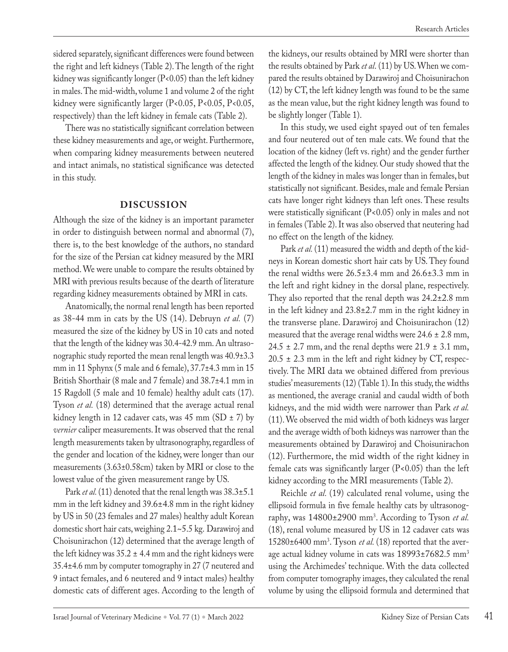sidered separately, significant differences were found between the right and left kidneys (Table 2). The length of the right kidney was significantly longer (P<0.05) than the left kidney in males. The mid-width, volume 1 and volume 2 of the right kidney were significantly larger (P<0.05, P<0.05, P<0.05, respectively) than the left kidney in female cats (Table 2).

There was no statistically significant correlation between these kidney measurements and age, or weight. Furthermore, when comparing kidney measurements between neutered and intact animals, no statistical significance was detected in this study.

## **DISCUSSION**

Although the size of the kidney is an important parameter in order to distinguish between normal and abnormal (7), there is, to the best knowledge of the authors, no standard for the size of the Persian cat kidney measured by the MRI method. We were unable to compare the results obtained by MRI with previous results because of the dearth of literature regarding kidney measurements obtained by MRI in cats.

Anatomically, the normal renal length has been reported as 38-44 mm in cats by the US (14). Debruyn *et al.* (7) measured the size of the kidney by US in 10 cats and noted that the length of the kidney was 30.4-42.9 mm. An ultrasonographic study reported the mean renal length was 40.9±3.3 mm in 11 Sphynx (5 male and 6 female), 37.7±4.3 mm in 15 British Shorthair (8 male and 7 female) and 38.7±4.1 mm in 15 Ragdoll (5 male and 10 female) healthy adult cats (17). Tyson *et al.* (18) determined that the average actual renal kidney length in 12 cadaver cats, was 45 mm (SD  $\pm$  7) by *vernier* caliper measurements. It was observed that the renal length measurements taken by ultrasonography, regardless of the gender and location of the kidney, were longer than our measurements (3.63±0.58cm) taken by MRI or close to the lowest value of the given measurement range by US.

Park *et al.* (11) denoted that the renal length was  $38.3 \pm 5.1$ mm in the left kidney and 39.6±4.8 mm in the right kidney by US in 50 (23 females and 27 males) healthy adult Korean domestic short hair cats, weighing 2.1~5.5 kg. Darawiroj and Choisunirachon (12) determined that the average length of the left kidney was  $35.2 \pm 4.4$  mm and the right kidneys were 35.4±4.6 mm by computer tomography in 27 (7 neutered and 9 intact females, and 6 neutered and 9 intact males) healthy domestic cats of different ages. According to the length of the kidneys, our results obtained by MRI were shorter than the results obtained by Park *et al*. (11) by US. When we compared the results obtained by Darawiroj and Choisunirachon (12) by CT, the left kidney length was found to be the same as the mean value, but the right kidney length was found to be slightly longer (Table 1).

In this study, we used eight spayed out of ten females and four neutered out of ten male cats. We found that the location of the kidney (left vs. right) and the gender further affected the length of the kidney. Our study showed that the length of the kidney in males was longer than in females, but statistically not significant. Besides, male and female Persian cats have longer right kidneys than left ones. These results were statistically significant (P<0.05) only in males and not in females (Table 2). It was also observed that neutering had no effect on the length of the kidney.

Park et al. (11) measured the width and depth of the kidneys in Korean domestic short hair cats by US. They found the renal widths were  $26.5\pm3.4$  mm and  $26.6\pm3.3$  mm in the left and right kidney in the dorsal plane, respectively. They also reported that the renal depth was  $24.2\pm2.8$  mm in the left kidney and 23.8±2.7 mm in the right kidney in the transverse plane. Darawiroj and Choisunirachon (12) measured that the average renal widths were  $24.6 \pm 2.8$  mm,  $24.5 \pm 2.7$  mm, and the renal depths were  $21.9 \pm 3.1$  mm,  $20.5 \pm 2.3$  mm in the left and right kidney by CT, respectively. The MRI data we obtained differed from previous studies' measurements (12) (Table 1). In this study, the widths as mentioned, the average cranial and caudal width of both kidneys, and the mid width were narrower than Park *et al.*  (11). We observed the mid width of both kidneys was larger and the average width of both kidneys was narrower than the measurements obtained by Darawiroj and Choisunirachon (12). Furthermore, the mid width of the right kidney in female cats was significantly larger (P<0.05) than the left kidney according to the MRI measurements (Table 2).

Reichle *et al.* (19) calculated renal volume, using the ellipsoid formula in five female healthy cats by ultrasonography, was 14800±2900 mm3 . According to Tyson *et al.*  (18), renal volume measured by US in 12 cadaver cats was 15280±6400 mm3 . Tyson *et al.* (18) reported that the average actual kidney volume in cats was 18993±7682.5 mm3 using the Archimedes' technique. With the data collected from computer tomography images, they calculated the renal volume by using the ellipsoid formula and determined that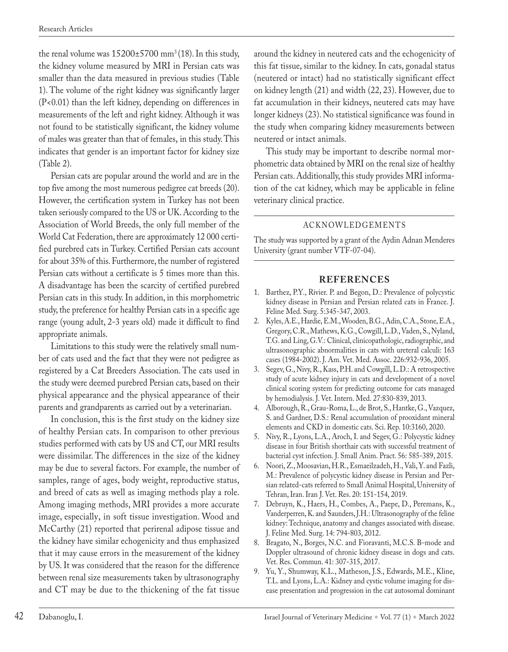the renal volume was  $15200 \pm 5700$  mm<sup>3</sup> (18). In this study, the kidney volume measured by MRI in Persian cats was smaller than the data measured in previous studies (Table 1). The volume of the right kidney was significantly larger (P<0.01) than the left kidney, depending on differences in measurements of the left and right kidney. Although it was not found to be statistically significant, the kidney volume of males was greater than that of females, in this study. This indicates that gender is an important factor for kidney size (Table 2).

Persian cats are popular around the world and are in the top five among the most numerous pedigree cat breeds (20). However, the certification system in Turkey has not been taken seriously compared to the US or UK. According to the Association of World Breeds, the only full member of the World Cat Federation, there are approximately 12 000 certified purebred cats in Turkey. Certified Persian cats account for about 35% of this. Furthermore, the number of registered Persian cats without a certificate is 5 times more than this. A disadvantage has been the scarcity of certified purebred Persian cats in this study. In addition, in this morphometric study, the preference for healthy Persian cats in a specific age range (young adult, 2-3 years old) made it difficult to find appropriate animals.

Limitations to this study were the relatively small number of cats used and the fact that they were not pedigree as registered by a Cat Breeders Association. The cats used in the study were deemed purebred Persian cats, based on their physical appearance and the physical appearance of their parents and grandparents as carried out by a veterinarian.

In conclusion, this is the first study on the kidney size of healthy Persian cats. In comparison to other previous studies performed with cats by US and CT, our MRI results were dissimilar. The differences in the size of the kidney may be due to several factors. For example, the number of samples, range of ages, body weight, reproductive status, and breed of cats as well as imaging methods play a role. Among imaging methods, MRI provides a more accurate image, especially, in soft tissue investigation. Wood and McCarthy (21) reported that perirenal adipose tissue and the kidney have similar echogenicity and thus emphasized that it may cause errors in the measurement of the kidney by US. It was considered that the reason for the difference between renal size measurements taken by ultrasonography and CT may be due to the thickening of the fat tissue around the kidney in neutered cats and the echogenicity of this fat tissue, similar to the kidney. In cats, gonadal status (neutered or intact) had no statistically significant effect on kidney length (21) and width (22, 23). However, due to fat accumulation in their kidneys, neutered cats may have longer kidneys (23). No statistical significance was found in the study when comparing kidney measurements between neutered or intact animals.

This study may be important to describe normal morphometric data obtained by MRI on the renal size of healthy Persian cats. Additionally, this study provides MRI information of the cat kidney, which may be applicable in feline veterinary clinical practice.

#### ACKNOWLEDGEMENTS

The study was supported by a grant of the Aydin Adnan Menderes University (grant number VTF-07-04).

#### **REFERENCES**

- 1. Barthez, P.Y., Rivier. P. and Begon, D.: Prevalence of polycystic kidney disease in Persian and Persian related cats in France. J. Feline Med. Surg. 5:345-347, 2003.
- 2. Kyles, A.E., Hardie, E.M., Wooden, B.G., Adin, C.A., Stone, E.A., Gregory, C.R., Mathews, K.G., Cowgill, L.D., Vaden, S., Nyland, T.G. and Ling, G.V.: Clinical, clinicopathologic, radiographic, and ultrasonographic abnormalities in cats with ureteral calculi: 163 cases (1984-2002). J. Am. Vet. Med. Assoc. 226:932-936, 2005.
- 3. Segev, G., Nivy, R., Kass, P.H. and Cowgill, L.D.: A retrospective study of acute kidney injury in cats and development of a novel clinical scoring system for predicting outcome for cats managed by hemodialysis. J. Vet. Intern. Med. 27:830-839, 2013.
- 4. Alborough, R., Grau-Roma, L., de Brot, S., Hantke, G., Vazquez, S. and Gardner, D.S.: Renal accumulation of prooxidant mineral elements and CKD in domestic cats. Sci. Rep. 10:3160, 2020.
- 5. Nivy, R., Lyons, L.A., Aroch, I. and Segev, G.: Polycystic kidney disease in four British shorthair cats with successful treatment of bacterial cyst infection. J. Small Anim. Pract. 56: 585-389, 2015.
- 6. Noori, Z., Moosavian, H.R., Esmaeilzadeh, H., Vali, Y. and Fazli, M.: Prevalence of polycystic kidney disease in Persian and Persian related-cats referred to Small Animal Hospital, University of Tehran, Iran. Iran J. Vet. Res. 20: 151-154, 2019.
- 7. Debruyn, K., Haers, H., Combes, A., Paepe, D., Peremans, K., Vanderperren, K. and Saunders, J.H.: Ultrasonography of the feline kidney: Technique, anatomy and changes associated with disease. J. Feline Med. Surg. 14: 794-803, 2012.
- 8. Bragato, N., Borges, N.C. and Fioravanti, M.C.S. B-mode and Doppler ultrasound of chronic kidney disease in dogs and cats. Vet. Res. Commun. 41: 307-315, 2017.
- 9. Yu, Y., Shumway, K.L., Matheson, J.S., Edwards, M.E., Kline, T.L. and Lyons, L.A.: Kidney and cystic volume imaging for disease presentation and progression in the cat autosomal dominant